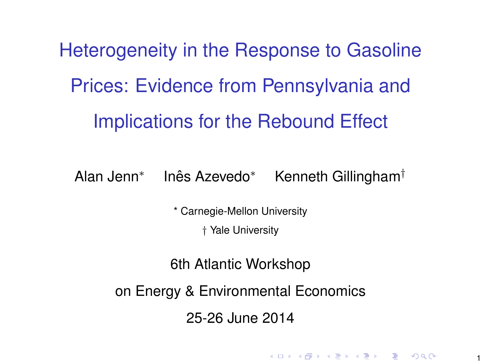Heterogeneity in the Response to Gasoline Prices: Evidence from Pennsylvania and Implications for the Rebound Effect

Alan Jenn\* Inês Azevedo\* Kenneth Gillingham<sup>†</sup>

\* Carnegie-Mellon University

† Yale University

6th Atlantic Workshop

on Energy & Environmental Economics

25-26 June 2014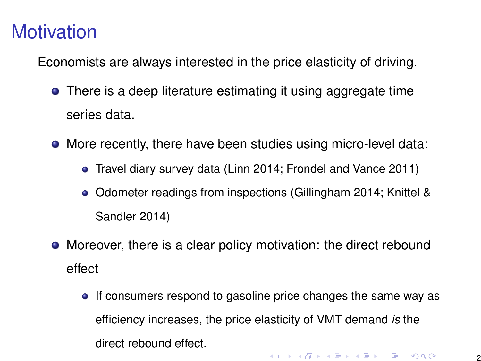## **Motivation**

Economists are always interested in the price elasticity of driving.

- **•** There is a deep literature estimating it using aggregate time series data.
- More recently, there have been studies using micro-level data:
	- Travel diary survey data (Linn 2014; Frondel and Vance 2011)
	- Odometer readings from inspections (Gillingham 2014; Knittel & Sandler 2014)
- Moreover, there is a clear policy motivation: the direct rebound effect
	- If consumers respond to gasoline price changes the same way as efficiency increases, the price elasticity of VMT demand *is* the direct rebound effect.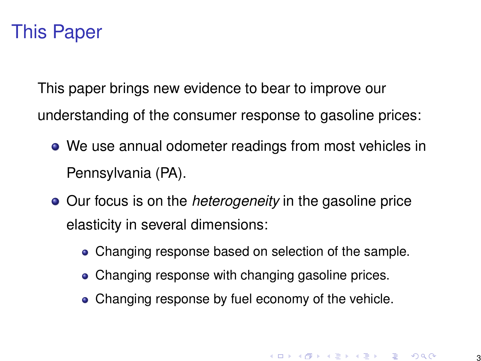### This Paper

This paper brings new evidence to bear to improve our understanding of the consumer response to gasoline prices:

- We use annual odometer readings from most vehicles in Pennsylvania (PA).
- Our focus is on the *heterogeneity* in the gasoline price elasticity in several dimensions:
	- Changing response based on selection of the sample.
	- Changing response with changing gasoline prices.
	- Changing response by fuel economy of the vehicle.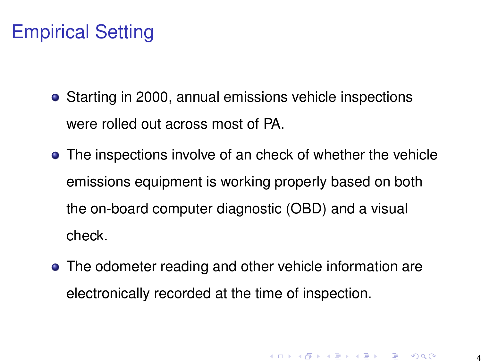# Empirical Setting

- Starting in 2000, annual emissions vehicle inspections were rolled out across most of PA.
- The inspections involve of an check of whether the vehicle emissions equipment is working properly based on both the on-board computer diagnostic (OBD) and a visual check.
- The odometer reading and other vehicle information are electronically recorded at the time of inspection.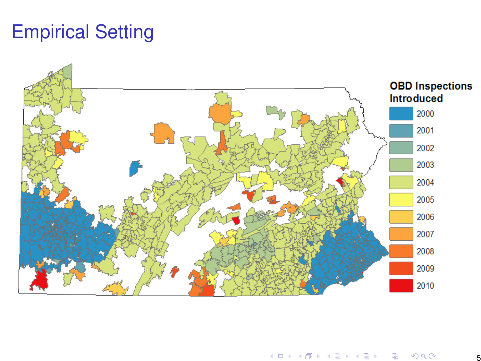# Empirical Setting

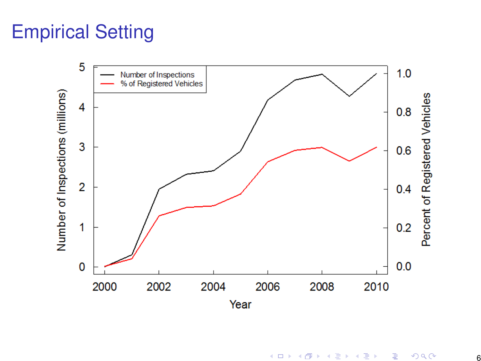# Empirical Setting

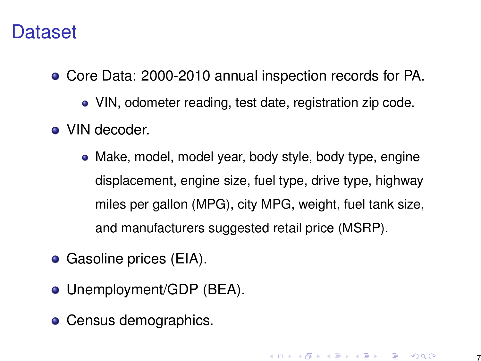#### **Dataset**

- Core Data: 2000-2010 annual inspection records for PA.
	- VIN, odometer reading, test date, registration zip code.
- VIN decoder.
	- Make, model, model year, body style, body type, engine displacement, engine size, fuel type, drive type, highway miles per gallon (MPG), city MPG, weight, fuel tank size, and manufacturers suggested retail price (MSRP).
- Gasoline prices (EIA).
- Unemployment/GDP (BEA).
- Census demographics.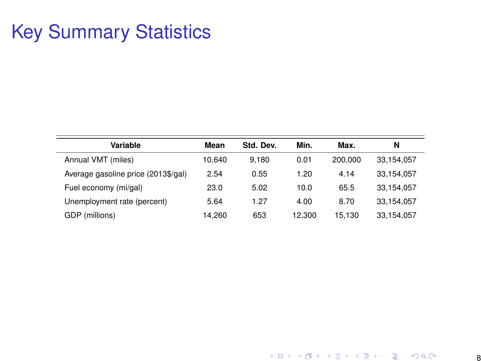# Key Summary Statistics

| Variable                            | Mean   | Std. Dev. | Min.   | Max.    | N          |
|-------------------------------------|--------|-----------|--------|---------|------------|
| Annual VMT (miles)                  | 10.640 | 9.180     | 0.01   | 200,000 | 33,154,057 |
| Average gasoline price (2013\$/gal) | 2.54   | 0.55      | 1.20   | 4.14    | 33.154.057 |
| Fuel economy (mi/gal)               | 23.0   | 5.02      | 10.0   | 65.5    | 33,154,057 |
| Unemployment rate (percent)         | 5.64   | 1.27      | 4.00   | 8.70    | 33.154.057 |
| GDP (millions)                      | 14.260 | 653       | 12.300 | 15.130  | 33,154,057 |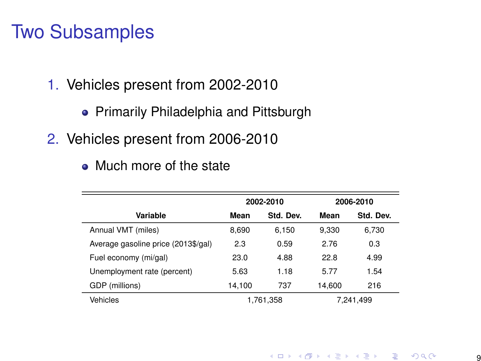#### Two Subsamples

- 1. Vehicles present from 2002-2010
	- Primarily Philadelphia and Pittsburgh
- 2. Vehicles present from 2006-2010
	- Much more of the state

|                                     | 2002-2010 |           | 2006-2010 |           |
|-------------------------------------|-----------|-----------|-----------|-----------|
| Variable                            | Mean      | Std. Dev. | Mean      | Std. Dev. |
| Annual VMT (miles)                  | 8.690     | 6.150     | 9.330     | 6,730     |
| Average gasoline price (2013\$/gal) | 2.3       | 0.59      | 2.76      | 0.3       |
| Fuel economy (mi/gal)               | 23.0      | 4.88      | 22.8      | 4.99      |
| Unemployment rate (percent)         | 5.63      | 1.18      | 5.77      | 1.54      |
| GDP (millions)                      | 14.100    | 737       | 14.600    | 216       |
| Vehicles                            |           | 1.761.358 |           | 7.241.499 |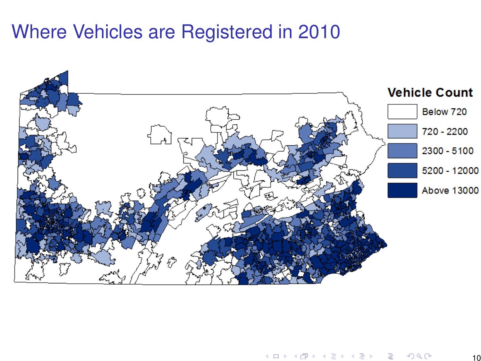#### Where Vehicles are Registered in 2010

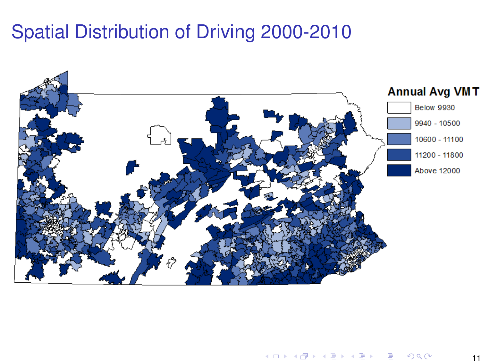### Spatial Distribution of Driving 2000-2010

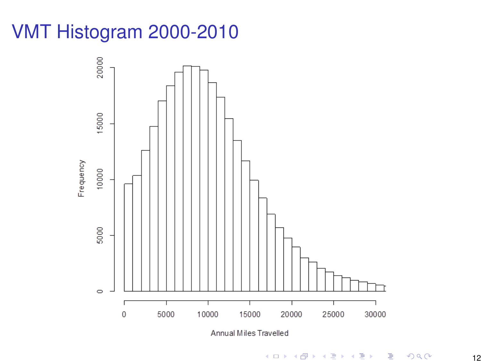# VMT Histogram 2000-2010

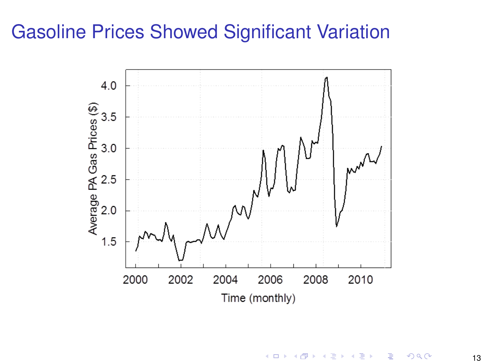### Gasoline Prices Showed Significant Variation

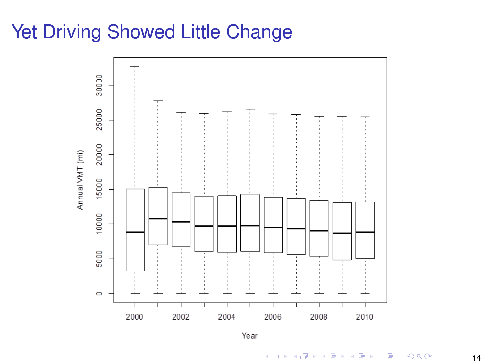## Yet Driving Showed Little Change



Year

イロト イ部ト イ君ト イ君ト È  $299$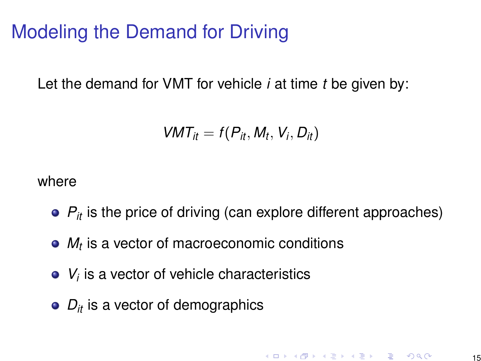## Modeling the Demand for Driving

Let the demand for VMT for vehicle *i* at time *t* be given by:

$$
VMT_{it}=f(P_{it},M_t,V_i,D_{it})
$$

where

- $P_{it}$  is the price of driving (can explore different approaches)
- *Mt* is a vector of macroeconomic conditions
- *Vi* is a vector of vehicle characteristics
- $\bullet$   $D_{it}$  is a vector of demographics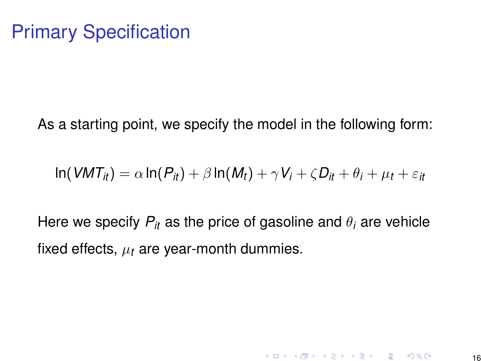As a starting point, we specify the model in the following form:

$$
\ln(VMT_{it}) = \alpha \ln(P_{it}) + \beta \ln(M_t) + \gamma V_i + \zeta D_{it} + \theta_i + \mu_t + \varepsilon_{it}
$$

Here we specify  $P_{it}$  as the price of gasoline and  $\theta_i$  are vehicle fixed effects,  $\mu_t$  are year-month dummies.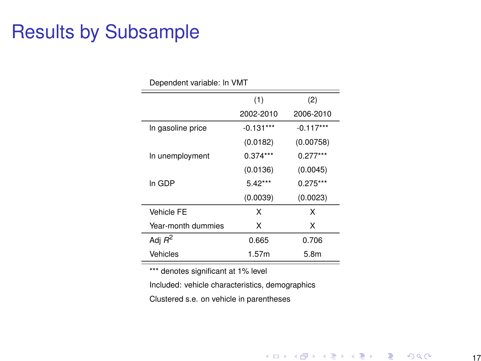### <span id="page-16-0"></span>Results by Subsample

| Dependent variable: In VMI |             |             |  |
|----------------------------|-------------|-------------|--|
|                            | (1)         | (2)         |  |
|                            | 2002-2010   | 2006-2010   |  |
| In gasoline price          | $-0.131***$ | $-0.117***$ |  |
|                            | (0.0182)    | (0.00758)   |  |
| In unemployment            | $0.374***$  | $0.277***$  |  |
|                            | (0.0136)    | (0.0045)    |  |
| In GDP                     | $5.42***$   | $0.275***$  |  |
|                            | (0.0039)    | (0.0023)    |  |
| Vehicle FE                 | x           | x           |  |
| Year-month dummies         | x           | x           |  |
| Adj $R^2$                  | 0.665       | 0.706       |  |
| Vehicles                   | 1.57m       | 5.8m        |  |

\*\*\* denotes significant at 1% level

Included: vehicle characteristics, demographics

Clustered s.e. on vehicle in parentheses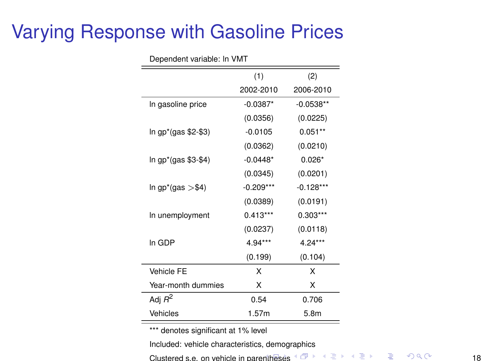### <span id="page-17-0"></span>Varying Response with Gasoline Prices

| <b>Popondont vanapio.</b> v.v. . |             |             |  |  |
|----------------------------------|-------------|-------------|--|--|
|                                  | (1)         | (2)         |  |  |
|                                  | 2002-2010   | 2006-2010   |  |  |
| In gasoline price                | $-0.0387*$  | $-0.0538**$ |  |  |
|                                  | (0.0356)    | (0.0225)    |  |  |
| In gp*(gas \$2-\$3)              | $-0.0105$   | $0.051**$   |  |  |
|                                  | (0.0362)    | (0.0210)    |  |  |
| In gp*(gas \$3-\$4)              | $-0.0448*$  | $0.026*$    |  |  |
|                                  | (0.0345)    | (0.0201)    |  |  |
| $ln gp^*(gas > $4)$              | $-0.209***$ | $-0.128***$ |  |  |
|                                  | (0.0389)    | (0.0191)    |  |  |
| In unemployment                  | $0.413***$  | $0.303***$  |  |  |
|                                  | (0.0237)    | (0.0118)    |  |  |
| In GDP                           | $4.94***$   | $4.24***$   |  |  |
|                                  | (0.199)     | (0.104)     |  |  |
| Vehicle FE                       | x           | x           |  |  |
| Year-month dummies               | x           | x           |  |  |
| Adj $R^2$                        | 0.54        | 0.706       |  |  |
| Vehicles                         | 1.57m       | 5.8m        |  |  |

Dependent variable: ln VMT

\*\*\* denotes significant at 1% level

Included: vehicle characteristics, demographics

Clustered s.e. on vehicle in par[enth](#page-16-0)e[ses](#page-18-0)  $\mathbb{R}^n \rightarrow \mathbb{R}^n \rightarrow \mathbb{R}^n \rightarrow \mathbb{R}^n \rightarrow \mathbb{R}$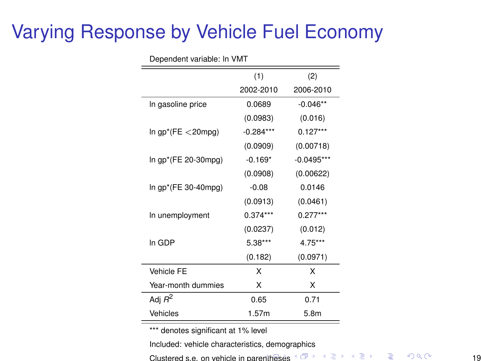## <span id="page-18-0"></span>Varying Response by Vehicle Fuel Economy

| Dependent vanable. In vivin |             |              |  |
|-----------------------------|-------------|--------------|--|
|                             | (1)         | (2)          |  |
|                             | 2002-2010   | 2006-2010    |  |
| In gasoline price           | 0.0689      | $-0.046**$   |  |
|                             | (0.0983)    | (0.016)      |  |
| In $gp^*(FE < 20mp)$        | $-0.284***$ | $0.127***$   |  |
|                             | (0.0909)    | (0.00718)    |  |
| In gp*(FE 20-30mpg)         | $-0.169*$   | $-0.0495***$ |  |
|                             | (0.0908)    | (0.00622)    |  |
| In gp*(FE 30-40mpg)         | $-0.08$     | 0.0146       |  |
|                             | (0.0913)    | (0.0461)     |  |
| In unemployment             | $0.374***$  | $0.277***$   |  |
|                             | (0.0237)    | (0.012)      |  |
| In GDP                      | $5.38***$   | $4.75***$    |  |
|                             | (0.182)     | (0.0971)     |  |
| <b>Vehicle FE</b>           | x           | x            |  |
| Year-month dummies          | x           | x            |  |
| Adj $R^2$                   | 0.65        | 0.71         |  |
| Vehicles                    | 1.57m       | 5.8m         |  |

Dependent variable: ln VMT

\*\*\* denotes significant at 1% level

Included: vehicle characteristics, demographics

Clustered s.e. on vehicle in par[enth](#page-17-0)e[ses](#page-19-0)  $\mathbb{R}^n \rightarrow \mathbb{R}^n \rightarrow \mathbb{R}^n \rightarrow \mathbb{R}^n \rightarrow \mathbb{R}$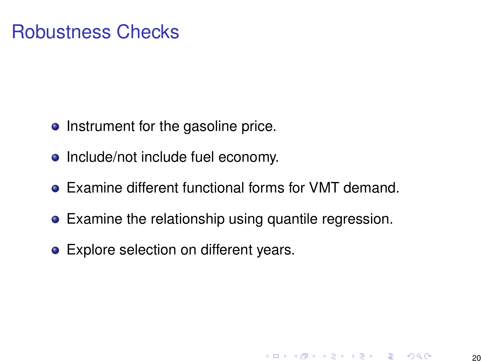#### <span id="page-19-0"></span>Robustness Checks

- Instrument for the gasoline price.
- Include/not include fuel economy.
- Examine different functional forms for VMT demand.
- Examine the relationship using quantile regression.
- **•** Explore selection on different years.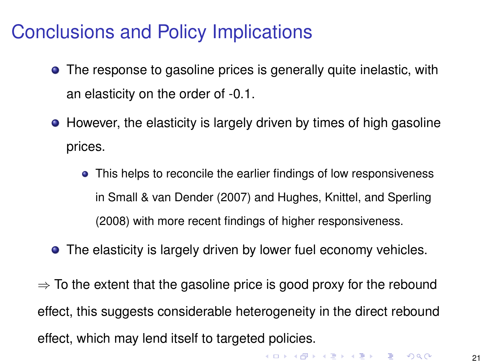## Conclusions and Policy Implications

- The response to gasoline prices is generally quite inelastic, with an elasticity on the order of -0.1.
- However, the elasticity is largely driven by times of high gasoline prices.
	- This helps to reconcile the earlier findings of low responsiveness in Small & van Dender (2007) and Hughes, Knittel, and Sperling (2008) with more recent findings of higher responsiveness.
- **•** The elasticity is largely driven by lower fuel economy vehicles.

 $\Rightarrow$  To the extent that the gasoline price is good proxy for the rebound effect, this suggests considerable heterogeneity in the direct rebound effect, which may lend itself to targeted policies.